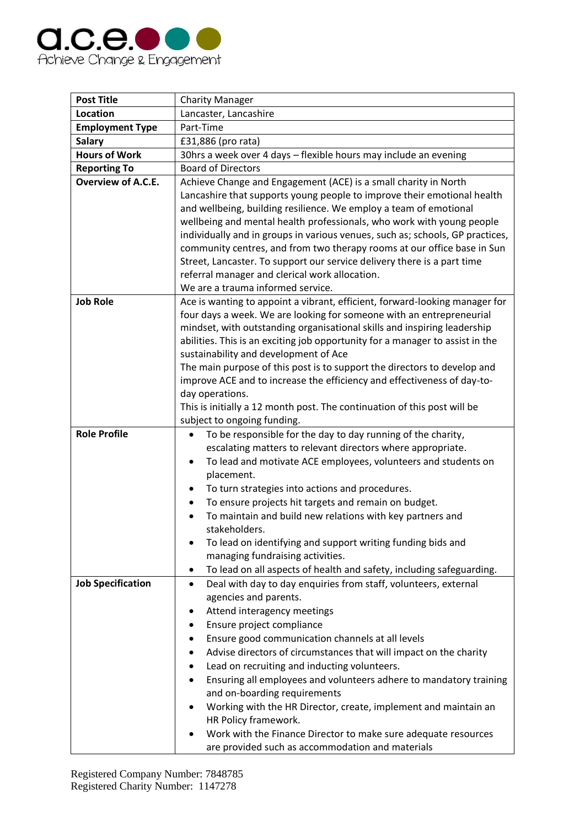

| <b>Post Title</b>        | <b>Charity Manager</b>                                                                          |
|--------------------------|-------------------------------------------------------------------------------------------------|
| <b>Location</b>          | Lancaster, Lancashire                                                                           |
| <b>Employment Type</b>   | Part-Time                                                                                       |
| <b>Salary</b>            | £31,886 (pro rata)                                                                              |
| <b>Hours of Work</b>     | 30hrs a week over 4 days - flexible hours may include an evening                                |
| <b>Reporting To</b>      | <b>Board of Directors</b>                                                                       |
| Overview of A.C.E.       | Achieve Change and Engagement (ACE) is a small charity in North                                 |
|                          | Lancashire that supports young people to improve their emotional health                         |
|                          | and wellbeing, building resilience. We employ a team of emotional                               |
|                          | wellbeing and mental health professionals, who work with young people                           |
|                          | individually and in groups in various venues, such as; schools, GP practices,                   |
|                          | community centres, and from two therapy rooms at our office base in Sun                         |
|                          | Street, Lancaster. To support our service delivery there is a part time                         |
|                          | referral manager and clerical work allocation.                                                  |
|                          | We are a trauma informed service.                                                               |
| <b>Job Role</b>          | Ace is wanting to appoint a vibrant, efficient, forward-looking manager for                     |
|                          | four days a week. We are looking for someone with an entrepreneurial                            |
|                          | mindset, with outstanding organisational skills and inspiring leadership                        |
|                          | abilities. This is an exciting job opportunity for a manager to assist in the                   |
|                          | sustainability and development of Ace                                                           |
|                          | The main purpose of this post is to support the directors to develop and                        |
|                          | improve ACE and to increase the efficiency and effectiveness of day-to-                         |
|                          | day operations.                                                                                 |
|                          | This is initially a 12 month post. The continuation of this post will be                        |
|                          | subject to ongoing funding.                                                                     |
| <b>Role Profile</b>      | To be responsible for the day to day running of the charity,<br>$\bullet$                       |
|                          | escalating matters to relevant directors where appropriate.                                     |
|                          | To lead and motivate ACE employees, volunteers and students on<br>$\bullet$                     |
|                          | placement.                                                                                      |
|                          | To turn strategies into actions and procedures.                                                 |
|                          | To ensure projects hit targets and remain on budget.                                            |
|                          | To maintain and build new relations with key partners and<br>$\bullet$<br>stakeholders.         |
|                          |                                                                                                 |
|                          | To lead on identifying and support writing funding bids and<br>managing fundraising activities. |
|                          | To lead on all aspects of health and safety, including safeguarding.<br>٠                       |
| <b>Job Specification</b> | Deal with day to day enquiries from staff, volunteers, external<br>$\bullet$                    |
|                          | agencies and parents.                                                                           |
|                          | Attend interagency meetings                                                                     |
|                          | Ensure project compliance                                                                       |
|                          | Ensure good communication channels at all levels                                                |
|                          | Advise directors of circumstances that will impact on the charity                               |
|                          | Lead on recruiting and inducting volunteers.                                                    |
|                          | Ensuring all employees and volunteers adhere to mandatory training                              |
|                          | and on-boarding requirements                                                                    |
|                          | Working with the HR Director, create, implement and maintain an                                 |
|                          | HR Policy framework.                                                                            |
|                          | Work with the Finance Director to make sure adequate resources                                  |
|                          | are provided such as accommodation and materials                                                |